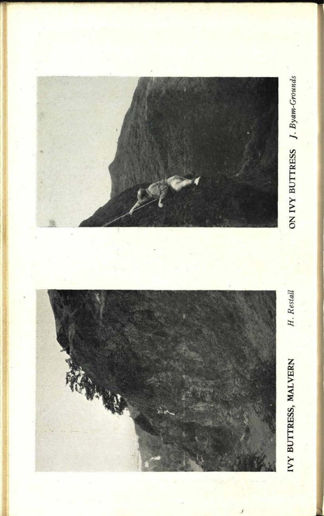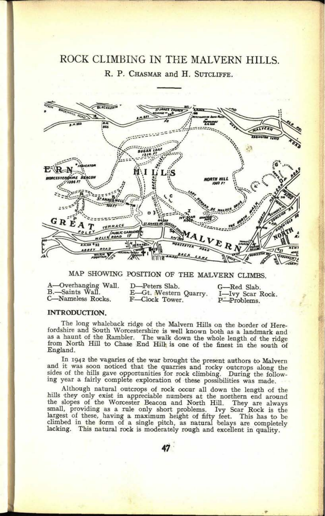# ROCK CLIMBING IN THE MALVERN HILLS. R. P. CHASMAR and H. SUTCLIFFE.



# MAP SHOWING POSITION OF THE MALVERN CLIMBS.

| A-Overhanging Wall. | D-Peters Slab.        | G-Red Slab.      |
|---------------------|-----------------------|------------------|
| B.-Saints Wall.     | E-Gt. Western Quarry. | I-Ivy Scar Rock. |
| C-Nameless Rocks.   | F-Clock Tower.        | P-Problems.      |

## **INTRODUCTION.**

The long whaleback ridge of the Malvern Hills on the border of Here-fordshire and South Worcestershire is well known both as a landmark and as a haunt of the Rambler. The walk down the whole length of the ridge from North Hill to Chase End Hill is one of the finest in the south of England.

In 1942 the vagaries of the war brought the present authors to Malvern<br>and it was soon noticed that the quarries and rocky outcrops along the<br>sides of the hills gave opportunities for rock climbing. During the follow-<br>ing

Although natural outcrops of rock occur all down the length of the hills they only exist in appreciable numbers at the northern end around the slopes of the Worcester Beacon and North Hill. They are always small, providing lacking. This natural rock is moderately rough and excellent in quality.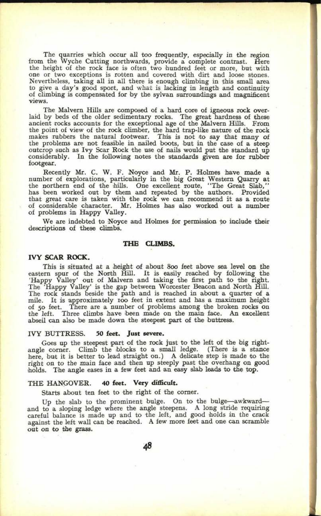The quarries which occur all too frequently, especially in the region from the Wyche Cutting northwards, provide a complete contrast. Here the height of the rock face is often two hundred feet or more, but with one or two exceptions is rotten and covered with dirt and loose stones. Nevertheless, taking all in all there is enough climbing in this small area to give a day's good sport, and what is lacking in length and continuity of climbing is compensated for by the sylvan surroundings and magnificent views.

The Malvern Hills are composed of a hard core of igneous rock overlaid by beds of the older sedimentary rocks. The great hardness of these ancient rocks accounts for the exceptional age of the Malvern Hills. From the point of view of the rock climber, the hard trap-like nature of the rock makes rubbers the natural footwear. This is not to say that many of the problems are not feasible in nailed boots, but in the case of a steep outcrop such as Ivy Scar Rock the use of nails would put the standard up considerably. In the following notes the standards given are for rubber footgear.

Recently Mr. C. W. F. Noyce and Mr. P. Holmes have made <sup>a</sup> number of explorations, particularly in the big Great Western Quarry at the northern end of the hills. One excellent route, "Tie Great Slab," has been worked out by them and repeated by the authors. Provided that great care is taken with the rock we can recommend it as a route of considerable character. Mr. Holmes has also worked out a number of problems in Happy Valley.

We are indebted to Noyce and Holmes for permission to include their descriptions of these climbs.

## **THE CLIMBS.**

## **IVY SCAR** *ROCK.*

This is situated at a height of about 800 feet above sea level on the eastern spur of the North Hill. It is easily reached by following the 'Happy Valley' out of Malvern and taking the first path to the right. The 'Happy Valley' is the gap between Worcester Beacon and North Hill. The rock stands beside the path and is reached in about a quarter of <sup>a</sup> mile. It is approximately roo feet in extent and has a maximum height of 50 feet. There are a number of problems among the broken rocks on the left. Three climbs have been made on the main face. An excellent abseil can also be made down the steepest part of the buttress.

#### IVY BUTTRESS. **50 feet. Just severe.**

Goes up the steepest part of the rock just to the left of the big rightangle corner. Climb the blocks to a small ledge. (There is a stance here, but it is better to lead straight on.) A delicate step is made *to* the right on to the main face and then up steeply past the overhang on good holds. The angle eases in a few feet and an easy slab leads to the top.

#### THE HANGOVER. **40 feet. Very difficult.**

Starts about ten feet to the right of the corner.

Up the slab to the prominent bulge. On to the bulge-awkwardand to a sloping ledge where the angle steepens. A long stride requiring careful balance is made up and to the left, and good holds in the crack against the left wall can be reached. A few more feet and one can scramble out on to the grass.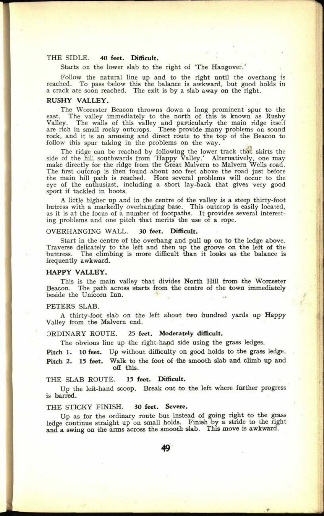## THE SIDLE. **40 feet. Difficult.**

Starts on the lower slab to the right of 'The Hangover.'

Follow the natural line up and to the right until the overhang is reached. To pass below this the balance is awkward, but good holds in <sup>a</sup>crack are soon reached. The exit is by a slab away on the right.

## RUSHY VALLEY.

The Worcester Beacon throwns down a long prominent spur to the east. The valley immediately to the north of this is known as Rushy Valley. The walls of this valley and particularly the main ridge itself are rich in small rocky outcrops. These provide many problems on sound rock, and it is an amusing and direct route to the top of the Beacon to follow this spur taking in the problems on the way.

The ridge can be reached by following the lower track that skirts the side of the hill southwards from 'Happy Valley.' Alternatively, one may make directly for the ridge from the Great Malvern to Malvern Wells road. The first outcrop is then found about 200 feet above the road just before the main hill path is reached. Here several problems will occur to the eye of the enthusiast, including a short lay-back that gives very good sport if tackled in boots.

A little higher up and in the centre of the valley is a steep thirty-foot butress with a markedly overhanging base. This outcrop is easily located, as it is at the focus of a number of footpaths. It provides several interesting problems and one pitch that merits the use of a rope.

## OVERHANGING WALL. **30 feet. Difficult.**

Start in the centre of the overhang and pull up on to the ledge above. Traverse delicately to the left and then up the groove on the left of the buttress. The climbing is more difficult than it looks as the balance is frequently awkward.

## **HAPPY VALLEY.**

This is the main valley that divides North Hill from the Worcester Beacon. The path across starts from the centre of the town immediately beside the Unicorn Inn.

## PETERS SLAB.

A thirty-foot slab on the left about two hundred yards up Happy Valley from the Malvern end.

#### ORDINARY ROUTE. **25 feet. Moderately difficult.**

The obvious line up the right-hand side using the grass tedges.

Pitch 1. 10 feet. Up without difficulty on good holds to the grass ledge. Pitch 2. 15 feet. Walk to the foot of the smooth slab and climb up and off this.

## THE SLAB ROUTE. **15 feet. Difficult.**

Up the left-hand scoop. Break out to the left where further progress is barred.

## THE STICKY FINISH. **30 feet. Severe.**

Up as for the ordinary route but instead of going right to the grass ledge continue straight up on small holds. Finish by a stride to the right and a swing on the arms across the smooth slab. This move is awkward.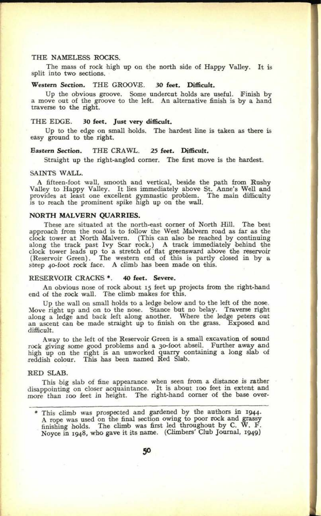## THE NAMELESS ROCKS.

The mass of rock high up on the north side of Happy Valley. It is split into two sections.

## **Western Section.** THE GROOVE. **30 feet. Difficult.**

Up the obvious groove. Some undercut holds are useful. Finish by <sup>a</sup>move out of the groove to the left. An alternative finish is by a hand traverse to the right.

#### THE EDGE. **30 feet. Just very difficult.**

Up to the edge on small holds. The hardest line is taken as there is easy ground to the right.

## **Eastern Section.** THE CRAWL. **25 feet. Difficult.**

Straight up the right-angled corner. The first move is the hardest.

#### SAINTS WALL.

<sup>A</sup>fifteen-foot wall, smooth and vertical, beside the path from Rushy Valley to Happy Valley. It lies immediately above St. Anne's Well and provides at least one excellent gymnastic problem. The main difficulty is to reach the prominent spike high up on the wall.

## **NORTH MALVERN QUARRIES.**

These are situated at the north-east corner of North Hill. The best approach from the road is to follow the West Malvern road as far as the clock tower at North Malvern. (This can also be reached by continuing along the track past Ivy Scar rock.) A track immediately behind the clock tower leads up to a stretch of flat greensward above the reservoir (Reservoir Green). The western end of this is partly closed in by a steep 40-foot rock face. A climb has been made on this.

#### RESERVOIR CRACKS \*. **40 feet. Severe.**

An obvious nose of rock about 15 feet up projects from the right-hand end of the rock wall. The climb makes for this.

Up the wall on small holds to a ledge below and to the left of the nose. Move right up and on to the nose. Stance but no belay. Traverse right along a ledge and back left along another. Where the ledge peters out an ascent can be made straight up to finish on the grass. Exposed and difficult.

Away to the left of the Reservoir Green is a small excavation of sound rock giving some good problems and a 3o-foot abseil. Further away and high up on the right is an unworked quarry containing a long slab of reddish colour. This has been named Red Slab.

#### RED SLAB.

This big slab of fine appearance when seen from, *a,* distance is rather disappointing on closer acquaintance. It is about 100 feet in extent and more than 100 feet in height. The right-hand corner of the base over-

<sup>\*</sup> This climb was prospected and gardened by the authors in 1944. <sup>A</sup>rope was used on the final section owing to poor irock and grassy finishing holds. The climb was first led throughout by C. W. F. Noyce in 1948, who gave it its name. (Climbers' Club Journal, 1949)